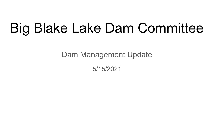# Big Blake Lake Dam Committee

Dam Management Update

5/15/2021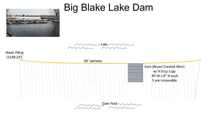

## Big Blake Lake Dam



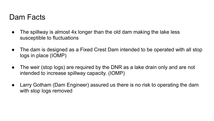#### Dam Facts

- The spillway is almost 4x longer than the old dam making the lake less susceptible to fluctuations
- The dam is designed as a Fixed Crest Dam intended to be operated with all stop logs in place (IOMP)
- The weir (stop logs) are required by the DNR as a lake drain only and are not intended to increase spillway capacity. (IOMP)
- Larry Gotham (Dam Engineer) assured us there is no risk to operating the dam with stop logs removed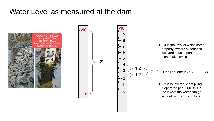### Water Level as measured at the dam



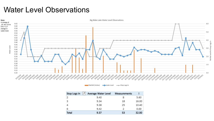#### Water Level Observations



Rainfall (Inches) - Lake Level - Stop Logs In

| JT.<br>Stop Logs In | Average Water Level | <b>Measurements</b> |       |
|---------------------|---------------------|---------------------|-------|
| $\overline{2}$      | 9.40                | 8                   | 5.60  |
| 3                   | 9.34                | 18                  | 16.00 |
| 4                   | 9.38                | 25                  | 10.40 |
| 6                   | 9.42                | 2                   | 0.00  |
| Total               | 9.37                | 53                  | 32.00 |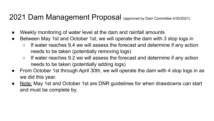### 2021 Dam Management Proposal (approved by Dam Committee 4/30/2021)

- Weekly monitoring of water level at the dam and rainfall amounts
- Between May 1st and October 1st, we will operate the dam with 3 stop logs in
	- If water reaches 9.4 we will assess the forecast and determine if any action needs to be taken (potentially removing logs)
	- If water reaches 9.2 we will assess the forecast and determine if any action needs to be taken (potentially adding logs)
- From October 1st through April 30th, we will operate the dam with 4 stop logs in as we did this year.
- Note: May 1st and October 1st are DNR guidelines for when drawdowns can start and must be complete by.